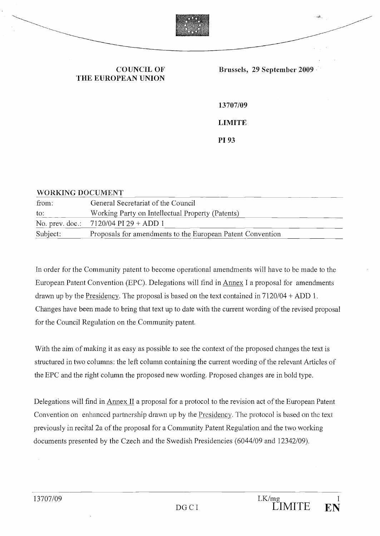

# THE EUROPEAN UNION

13707/09 LIMITE P193

#### WORKING DOCUMENT

| from:    | General Secretariat of the Council                         |
|----------|------------------------------------------------------------|
| to:      | Working Party on Intellectual Property (Patents)           |
|          | No. prev. doc.: $7120/04$ PI 29 + ADD 1                    |
| Subject: | Proposals for amendments to the European Patent Convention |

In order for the Community patent to become operational amendments will have to be made to the European Patent Convention (EPC). Delegations will find in Annex I a proposai for amendments drawn up by the Presidency. The proposal is based on the text contained in 7120/04 + ADD 1. Changes have been made to bring that text up to date with the current wording of the revised proposai for the Council Regulation on the Community patent.

With the aim of making it as easy as possible to see the context of the proposed changes the text is structured in two columns: the lefi column containing the current wording of the relevant Articles of the EPC and the right column the proposed new wording. Proposed changes are in bold type.

Delegations will find in Annex II a proposai for a protocol to the revision act of the European Patent Convention on enhanced partnership drawn up by the Presidency. The protocol is based on the text previously in recital 2a of the proposai for a Community Patent Regulation and the two working documents presented by the Czech and the Swedish Presidencies (6044/09 and 12342/09).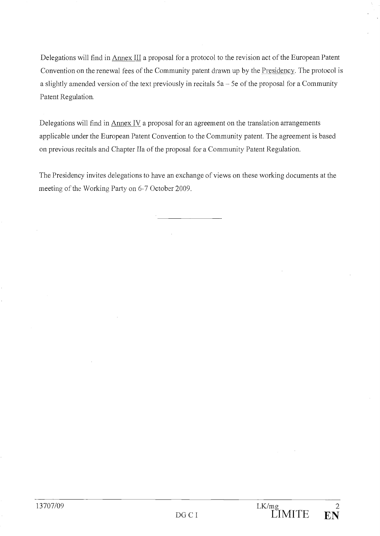Delegations will find in Armex III a proposai for a protocol to the revision act of the European Patent Convention on the renewal fees of the Community patent drawn up by the Presidency. The protocol is a slightly amended version of the text previously in recitals  $5a - 5e$  of the proposal for a Community Patent Regulation.

Delegations will find in Annex IV a proposal for an agreement on the translation arrangements applicable under the European Patent Convention to the Community patent. The agreement is based on previous recitals and Chapter lia of the proposai for a Community Patent Regulation.

The Presidency invites delegations to have an exchange of views on these working documents at the meeting of the Working Party on 6-7 October 2009.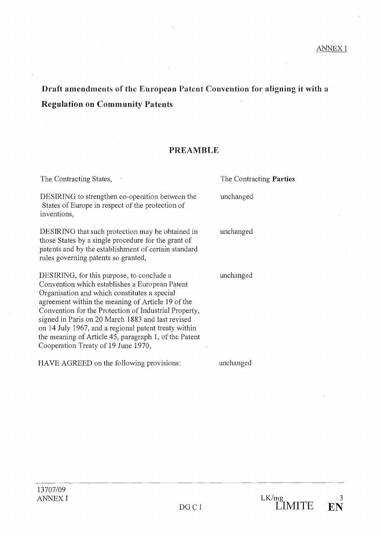# Draft amendments of the European Patent Convention for aligning it with a Regulation on Community Patents

# PREAMBLE

| The Contracting States,                                                                                                                                                                                                                                                                                                                                                                                                                                                | The Contracting <b>Parties</b> |
|------------------------------------------------------------------------------------------------------------------------------------------------------------------------------------------------------------------------------------------------------------------------------------------------------------------------------------------------------------------------------------------------------------------------------------------------------------------------|--------------------------------|
| DESIRING to strengthen co-operation between the<br>States of Europe in respect of the protection of<br>inventions,                                                                                                                                                                                                                                                                                                                                                     | unchanged                      |
| DESIRING that such protection may be obtained in<br>those States by a single procedure for the grant of<br>patents and by the establishment of certain standard<br>rules governing patents so granted,                                                                                                                                                                                                                                                                 | unchanged                      |
| DESIRING, for this purpose, to conclude a<br>Convention which establishes a European Patent<br>Organisation and which constitutes a special<br>agreement within the meaning of Article 19 of the<br>Convention for the Protection of Industrial Property,<br>signed in Paris on 20 March 1883 and last revised<br>on 14 July 1967, and a regional patent treaty within<br>the meaning of Article 45, paragraph 1, of the Patent<br>Cooperation Treaty of 19 June 1970, | unchanged                      |
| HAVE AGREED on the following provisions:                                                                                                                                                                                                                                                                                                                                                                                                                               | unchanged                      |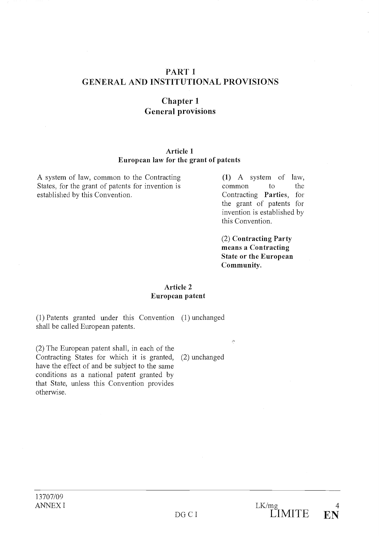# PART 1 GENERAL AND INSTITUTIONAL PROVISIONS

# Chapter 1 General provisions

#### Article 1 European law for the grant of patents

A system of law, common to the Contracting (1) A system of law, States, for the grant of patents for invention is common to the established by this Convention. Contracting Parties, for

the grant of patents for invention is established by this Convention.

(2) Contracting Party means a Contracting State or the European Community.

#### Article 2 European patent

Patents granted under this Convention (1) unchanged shall be called European patents.

 $(2)$  The European patent shall, in each of the Contracting States for which it is granted, (2) unchanged have the effect of and be subject to the same conditions as a national patent granted by that State, unless this Convention provides otherwise.

 $\hat{c}$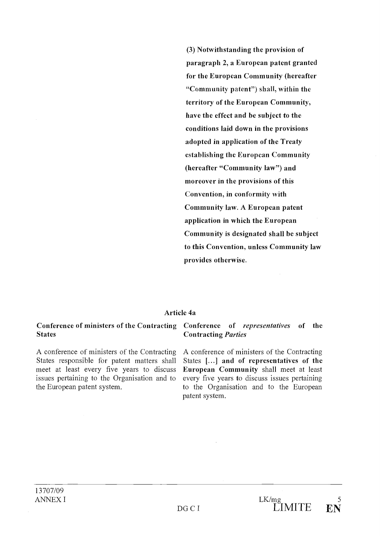(3) Notwithstanding the provision of paragraph 2, a European patent granted for the European Community (hereafter "Community patent") shall, within the territory of the European Community, have the effect and be subject to the conditions laid down in the provisions adopted in application of the Treaty establishing the European Community (hereafter "Community law") and moreover in the provisions of this Convention, in conformity with Community law. A European patent application in which the European Community is designated shall be subject to this Convention, unless Community law provides otherwise.

#### Article 4a

#### **States** Conference of ministers of the Contracting Conference of representatives of the

A conference of ministers of the Contracting States responsible for patent matters shall meet at least every five years to discuss issues pertaining to the Organisation and to the European patent system.

# Contracting Parties

A conference of ministers of the Contracting States [...] and of representatives of the European Community shall meet at least every five years to discuss issues pertaining to the Organisation and to the European patent system.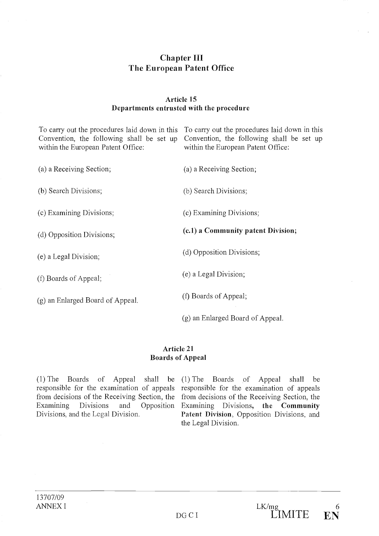# Chapter III The European Patent Office

# Article 15 Departments entrusted with the procedure

To carry out the procedures laid down in this To carry out the procedures laid down in this Convention, the following shall be set up Convention, the following shall be set up within the European Patent Office: within the European Patent Office: a Receiving Section; (a) a Receiving Section; (b) Search Divisions; (b) Search Divisions; Examining Divisions; (c) Examining Divisions; (d) Opposition Divisions;  $(c.1)$  a Community patent Division; a Legal Division; (d) Opposition Divisions; Boards of Appeal; (e) a Legal Division;  $(g)$  an Enlarged Board of Appeal.  $(f)$  Boards of Appeal; (g) an Enlarged Board of Appeal.

#### Article 21 Boards of Appeal

(1) The Boards of Appeal shall be  $(1)$  The Boards of Appeal shall be responsible for the examination of appeals responsible for the examination of appeals from decisions of the Receiving Section, the from decisions of the Receiving Section, the Examining Divisions and Opposition Examining Divisions, the Community Divisions, and the Legal Division. Patent Division, Opposition Divisions, and

the Legal Division.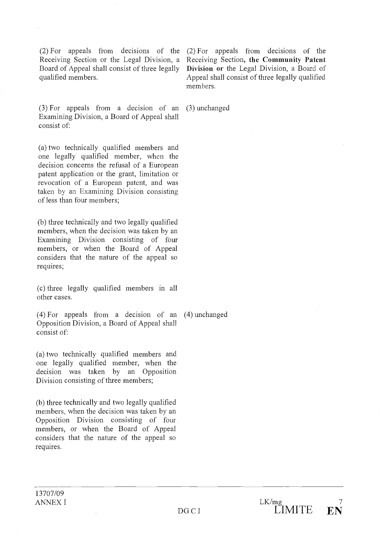(2) For appeals from decisions of the (2) For appeals from decisions of the Board of Appeal shall consist of three legally qualified members.

(3) For appeals from <sup>a</sup> decision of an (3) unchanged Examining Division, a Board of Appeal shall consist of:

(a) two technically qualified members and one legally qualified member, when the decision concerns the refusal of a European patent application or the grant, limitation or revocation of a European patent, and was taken by an Examining Division consisting of less than four members;

(b) three technically and two legally qualified members, when the decision was taken by an Examining Division consisting of four members, or when the Board of Appeal considers that the nature of the appeal so requires;

(c) three legally qualified members in all other cases.

(4) For appeals from <sup>a</sup> decision of an (4) unchanged Opposition Division, a Board of Appeal shahl consist of:

(a) two technically qualified members and one legally qualified member, when the decision was taken by an Opposition Division consisting of three members;

(b) three technically and two legally qualified members, when the decision was taken by an Opposition Division consisting of four members, or when the Board of Appeal considers that the nature of the appeal so requires.

Receiving Section or the Legal Division, a Receiving Section, the Community Patent Division or the Legal Division, a Board of Appeal shall consist of three legally qualified members.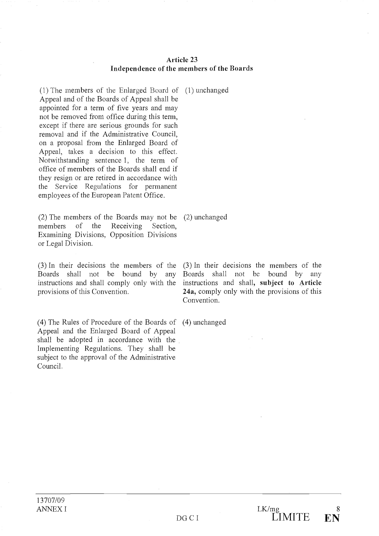#### Article 23 Independence of the members of the Boards

The members of the Enlarged Board of (1) unchanged Appeal and of the Boards of Appeal shall be appointed for a term of five years and may not be removed from office during this term, except if there are serious grounds for such removal and if the Administrative Council, on a proposai from the Enlarged Board of Appeal, takes a decision to this effect. Notwithstanding sentence 1, the term of office of members of the Boards shall end if they resign or are retired in accordance with the Service Regulations for permanent employees of the European Patent Office.

The members of the Boards may not be (2) unchanged members of the Receiving Section, Examining Divisions, Opposition Divisions or Legal Division.

Boards shall not be bound by any instructions and shall comply only with the provisions of this Convention.

(4) The Rules of Procedure of the Boards of (4) unchanged Appeal and the Enlarged Board of Appeal shall be adopted in accordance with the Implementing Regulations. They shall be subject to the approval of the Administrative Council.

In their decisions the members of the (3) In their decisions the members of the Boards shall not be bound by any instructions and shall, subject to Article 24a, comply only with the provisions of this Convention.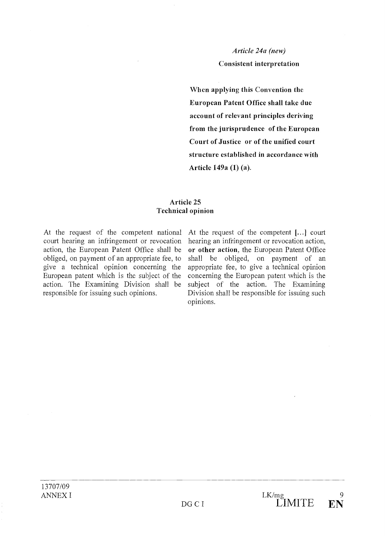# Article 24a (new) Consistent interpretation

When applying this Convention the European Patent Office shall take due account of relevant principles deriving from the jurisprudence of the European Court of Justice or of the unified court structure established in accordance with Article 149a (1) (a).

## Article 25 Technical opinion

At the request of the competent national court hearing an infringement or revocation action, the European Patent Office shall be obliged, on payment of an appropriate fee, to give a technical opinion concerning the European patent which is the subject of the action. The Examining Division shall be responsible for issuing such opinions.

At the request of the competent [...] court hearing an infringement or revocation action, or other action, the European Patent Office shall be obliged, on payment of an appropriate fee, to give a technical opinion concerning the European patent which is the subject of the action. The Examining Division shall be responsible for issuing such opinions.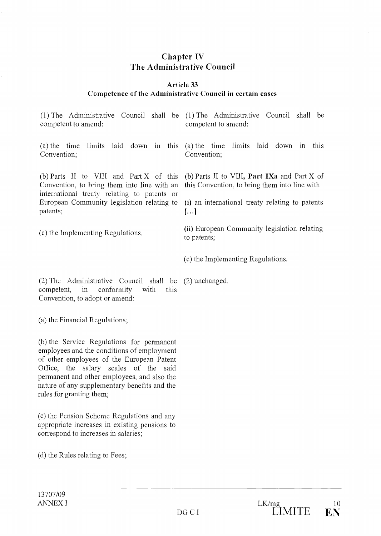# Chapter IV The Administrative Council

# Article 33

# Competence of the Administrative Council in certain cases

(c) the Implementing Regulations. (1) The Administrative Council shall be  $(1)$  The Administrative Council shall be competent to amend: competent to amend:  $t$  (a) the time limits laid down in this (a) the time limits laid down in this Convention; Convention; (b) Parts II to VIII and Part X of this (b) Parts II to VIII, Part IXa and Part X of Convention, to bring them into line with an this Convention, to bring them into line with international treaty relating to patents or European Community legislation relating to (i) an international treaty relating to patents patents;  $\left[ \dots \right]$ (ii) European Community legislation relating to patents; (c) the Implementing Regulations. (2) The Administrative Council shall be (2) unchanged. competent, in conformity with this Convention, to adopt or amend:  $(a)$  the Financial Regulations;

(b) the Service Regulations for permanent employees and the conditions of employment of other employees of the European Patent Office, the salary scales of the said permanent and other employees, and also the nature of any supplementary benefits and the rules for granting them;

(c) the Pension Scheme Regulations and any appropriate increases in existing pensions to correspond to increases in salaries;

 $(d)$  the Rules relating to Fees;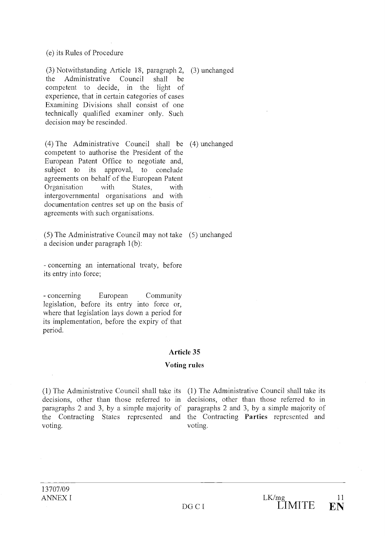(e) its Rules of Procedure

Notwithstanding Article 18, paragraph 2, (3) unchanged the Administrative Council shall be competent to decide, in the light of experience, that in certain categories of cases Examining Divisions shall consist of one technically qualified examiner only. Such decision may be rescinded.

The Administrative Council shall be (4) unchanged competent to authorise the President of the European Patent Office to negotiate and, subject to its approval, to conclude agreements on behalf of the European Patent Organisation with States, with intergovernmental organisations and with documentation centres set up on the basis of agreements with such organisations.

(5) The Administrative Council may not take (5) unchanged a decision under paragraph 1(b):

concerning an international treaty, before its entry into force;

concerning European Community legislation, before its entry into force or, where that legislation lays down a period for its implementation, before the expiry of that period.

#### Article 35

#### Voting rules

(1) The Administrative Council shall take its (1) The Administrative Council shall take its decisions, other than those referred to in decisions, other than those referred to in paragraphs 2 and 3, by a simple majority of paragraphs 2 and 3, by a simple majority of the Contracting States represented and the Contracting Parties represented and voting.

voting.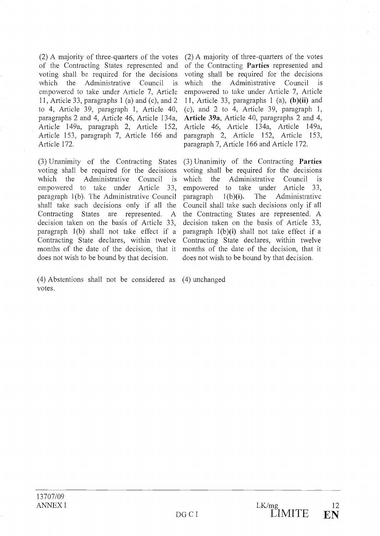A majority of three-quarters of the votes of the Contracting States represented and voting shall be required for the decisions which the Administrative Council is which empowered to take under Article 7, Article 11, Article 33, paragraphs 1 (a) and (c), and 2 to 4, Article 39, paragraph 1, Article 40, paragraphs 2 and 4, Article 46, Article 134a, Article 149a, paragraph 2, Article 152, Article 153, paragraph 7, Article 166 and Article 172.

Unanimity of the Contracting States voting shall be required for the decisions which the Administrative Council is which empowered to take under Article 33, empowered paragraph 1(b). The Administrative Council shall take such decisions only if all the Contracting States are represented. A decision taken on the basis of Article 33, paragraph  $1(b)$  shall not take effect if a Contracting State declares, within twelve months of the date of the decision, that it does not wish to be bound by that decision.

 $(2)$  A majority of three-quarters of the votes of the Contracting Parties represented and voting shall be required for the decisions the Administrative Council is empowered to take under Article 7, Article 11, Article 33, paragraphs 1 (a), (b)(ii) and (c), and 2 to 4, Article 39, paragraph 1, Article 39a, Article 40, paragraphs 2 and 4, Article 46, Article 134a, Article 149a, paragraph 2, Article 152, Article 153, paragraph 7, Article 166 and Article 172.

(3) Unanimity of the Contracting Parties voting shall be required for the decisions the Administrative Council is to take under Article 33,  $1(b)(i)$ . The Administrative Council shall take such decisions only if ail the Contracting States are represented. A decision taken on the basis of Article 33, paragraph  $1(b)(i)$  shall not take effect if a Contracting State declares, within twelve months of the date of the decision, that it does not wish to be bound by that decision.

 $(4)$  Abstentions shall not be considered as  $(4)$  unchanged votes.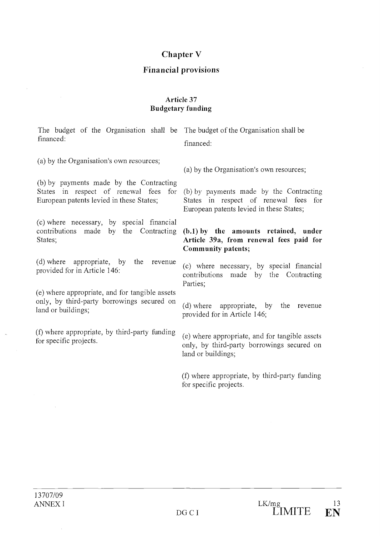# Chapter V

# Financial provisions

# Article 37 Budgetary funding

| The budget of the Organisation shall be The budget of the Organisation shall be<br>financed:                                       | financed:                                                                                                                                                          |
|------------------------------------------------------------------------------------------------------------------------------------|--------------------------------------------------------------------------------------------------------------------------------------------------------------------|
| (a) by the Organisation's own resources;                                                                                           | (a) by the Organisation's own resources;                                                                                                                           |
| (b) by payments made by the Contracting<br>European patents levied in these States;                                                | States in respect of renewal fees for (b) by payments made by the Contracting<br>States in respect of renewal fees for<br>European patents levied in these States; |
| (c) where necessary, by special financial<br>contributions made by the Contracting (b.1) by the amounts retained, under<br>States; | Article 39a, from renewal fees paid for<br>Community patents;                                                                                                      |
| (d) where appropriate, by the<br>revenue<br>provided for in Article 146:                                                           | (c) where necessary, by special financial<br>contributions made by the Contracting<br>Parties;                                                                     |
| (e) where appropriate, and for tangible assets<br>only, by third-party borrowings secured on<br>land or buildings;                 | (d) where appropriate, by the revenue<br>provided for in Article 146;                                                                                              |
| (f) where appropriate, by third-party funding<br>for specific projects.                                                            | (e) where appropriate, and for tangible assets<br>only, by third-party borrowings secured on                                                                       |

(f) where appropriate, by third-party funding for specific projects.

land or buildings;

 $\hat{\mathcal{A}}$ 

 $\sim$ 

 $\hat{\boldsymbol{\beta}}$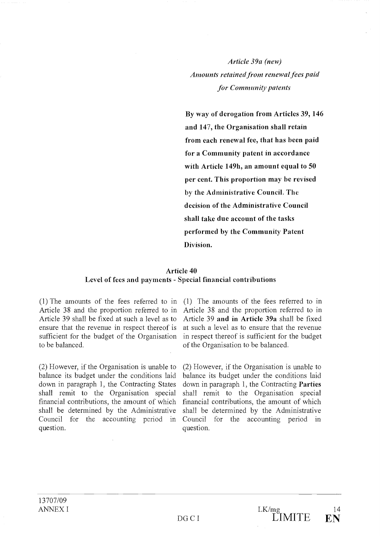Article 39a (new) Amounts retained from renewal fees paid for Community patents

By way of derogation from Articles 39, 146 and 147, the Organisation shall retain from each renewal fee, that has been paid for a Community patent in accordance with Article 149h, an amount equal to 50 per cent. This proportion may be revised by the Administrative Council. The decision of the Administrative Council shall take due account of the tasks performed by the Community Patent Division.

#### Article 40

# Level of fees and payments - Special financial contributions

Article 38 and the proportion referred to in Article 39 shall be fixed at such a level as to ensure that the revenue in respect thereof is sufficient for the budget of the Organisation to be balanced.

(2) However, if the Organisation is unable to balance its budget under the conditions laid down in paragraph 1, the Contracting States shall remit to the Organisation special financial contributions, the amount of which shall be determined by the Administrative Council for the accounting period in question.

The amounts of the fees referred to in  $(1)$  The amounts of the fees referred to in Article 38 and the proportion referred to in Article 39 and in Article 39a shall be fixed at such a level as to ensure that the revenue in respect thereof is sufficient for the budget of the Organisation to be balanced.

> (2) However, if the Organisation is unable to balance its budget under the conditions laid down in paragraph 1, the Contracting Parties shall remit to the Organisation special financial contributions, the amount of which shall be determined by the Administrative Council for the accounting period in question.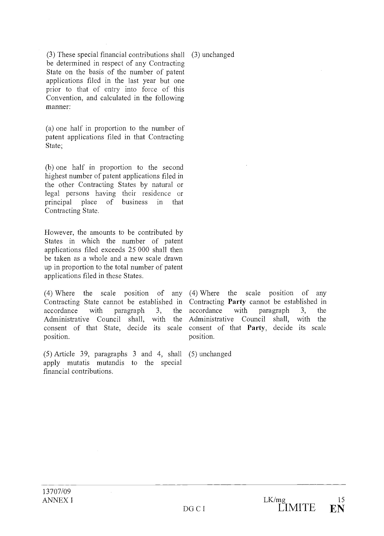(3) These special financial contributions shall (3) unchanged be determined in respect of any Contracting State on the basis of the number of patent applications filed in the last year but one prior to that of entry into force of this Convention, and calculated in the following manner:

(a) one half in proportion to the number of patent applications filed in that Contracting State;

 $(b)$  one half in proportion to the second highest number of patent applications filed in the other Contracting States by natural or legal persons having their residence or principal place of business in that Contracting State.

However, the amounts to be contributed by States in which the number of patent applications filed exceeds 25 000 shall then be taken as a whole and a new scale drawn up in proportion to the total number of patent applications filed in these States.

(4) Where the scale position of any  $(4)$  Where the Contracting State cannot be established in accordance with paragraph 3, the Administrative Council shall, with the consent of that State, decide its scale position.

 $(5)$  Article 39, paragraphs 3 and 4, shall apply mutatis mutandis to the special financial contributions.

scale position of any Contracting Party cannot be established in accordance with paragraph 3, the Administrative Council shall, with the consent of that Party, decide its scale position.

 $(5)$  unchanged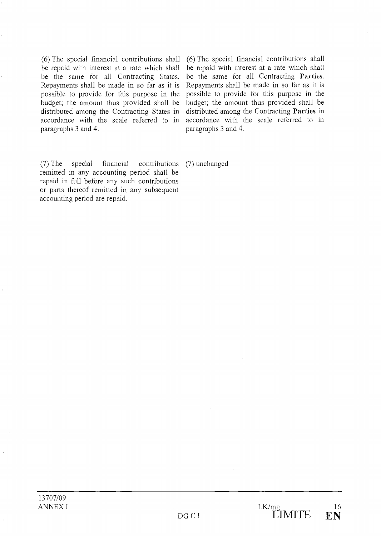$(6)$  The special financial contributions shall be repaid with interest at a rate which shall be the same for ail Contracting States. Repayments shall be made in so far as it is possible to provide for this purpose in the budget; the amount thus provided shall be distributed among the Contracting States in accordance with the scale referred to in paragraphs 3 and 4.

 $(6)$  The special financial contributions shall be repaid with interest at a rate which shall bc the same for all Contracting Parties. Repayments shall be made in so far as it is possible to provide for this purpose in the budget; the amount thus provided shall be distributed among the Contracting Parties in accordance with the scale referred to in paragraphs 3 and 4.

(7) The special financial contributions remitted in any accounting period shall be repaid in full before any such contributions or parts thereof remitted in any subsequent accounting period are repaid. (7) unchanged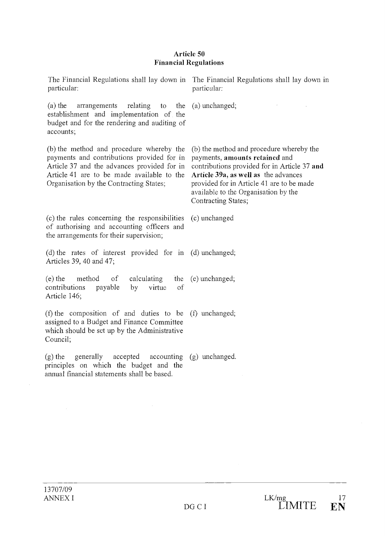#### Article 50 Financial Regulations

The Financial Regulations shall lay down in The Financial Regulations shall lay down in particular: particular: (a) the arrangements relating to the (a) unchanged; establishment and implementation of the budget and for the rendering and auditing of accounts; (b) the method and procedure whereby the payments and contributions provided for in Article 37 and the advances provided for in Article 41 are to be made available to the Organisation by the Contracting States; (c) the rules concerning the responsibilities of authorising and accounting officers and the arrangements for their supervision; the rates of interest provided for in (d) unchanged; Articles 39, 40 and 47;  $(e)$  the method of calculating the contributions payable by virtue of Article 146; the composition of and duties to be (f) unchanged; assigned to a Budget and Finance Committee which should be set up by the Administrative Council; the generally accepted accounting (g) unchanged. principles on which the budget and the (b) the method and procedure whereby the payments, amounts retained and contributions provided for in Article 37 and Article 39a, as well as the advances provided for in Article 41 are to be made available to the Organisation by the Contracting States; (c) unchanged (e) unchanged;

annual financial statements shall be based.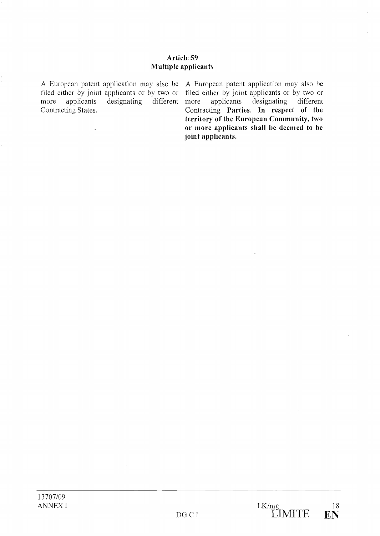# Article 59 Multiple applicants

A European patent application may also be A European patent application may also be filed either by joint applicants or by two or filed either by joint applicants or by two or more applicants designating different Contracting States.

applicants designating different Contracting Parties. In respect of the territory of the European Community, two or more applicants shall be deemed to be joint applicants.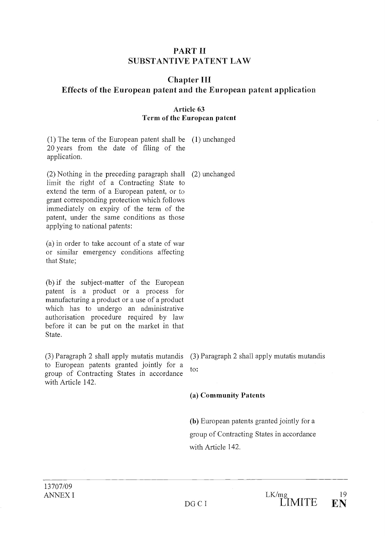# PART II SUBSTANTIVE PATENT LAW

# Chapter III Effects of the European patent and the European patent application

# Article 63 Term of the European patent

 $(1)$  The term of the European patent shall be  $(1)$  unchanged 20 years from the date of filing of the application.

(2) Nothing in the preceding paragraph shall (2) unchanged limit the right of a Contracting State to extend the term of a European patent, or to grant corresponding protection which follows immediately on expiry of the term of the patent, under the same conditions as those applying to national patents:

 $(a)$  in order to take account of a state of war or similar emergency conditions affecting that State;

(b) if the subject-matter of the European patent is a product or a process for manufacturing a product or a use of a product which has to undergo an administrative authorisation procedure required by law before it can be put on the market in that State.

 $(3)$  Paragraph 2 shall apply mutatis mutandis to European patents granted jointly for a group of Contracting States in accordance with Article 142.

 $(3)$  Paragraph 2 shall apply mutatis mutandis to:

(a) Community Patents

(b) European patents granted jointly for a group of Contracting States in accordance with Article 142.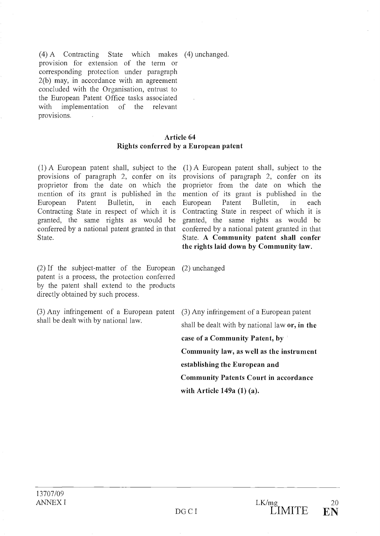(4) A Contracting State which makes (4) unchanged. provision for extension of the term or corresponding protection under paragraph 2(b) may, in accordanee with an agreement coneluded with the Organisation, entrust to the European Patent Office tasks associated with implementation of the relevant provisions.

# Article 64 Rights conferred by a European patent

provisions of paragraph 2, confer on its proprietor from the date on which the mention of its grant is published in the European Patent Bulletin, in each Contracting State in respect of which it is granted, the same rights as would be conferred by a national patent granted in that State.

A European patent shall, subject to the (1) A European patent shall, subject to the provisions of paragraph 2, confer on its proprietor from the date on which the mention of its grant is published in the European Patent Bulletin, in each Contracting State in respect of which it is granted, the same rights as would be conferred by a national patent granted in that State. A Community patent shall confer the rights laid down by Communitylaw.

 $(2)$  If the subject-matter of the European patent is a process, the protection conferred by the patent shall extend to the products directly obtained by such process.

Any infringement of a European patent (3) Any infringement of a European patent shall be dealt with by national law.

 $(2)$  unchanged

shall be dealt with by national law  $or$ , in the case of a Community Patent, by Community law, as well as the instrument establishing the European and Community Patents Court in accordance with Article 149a (1) (a).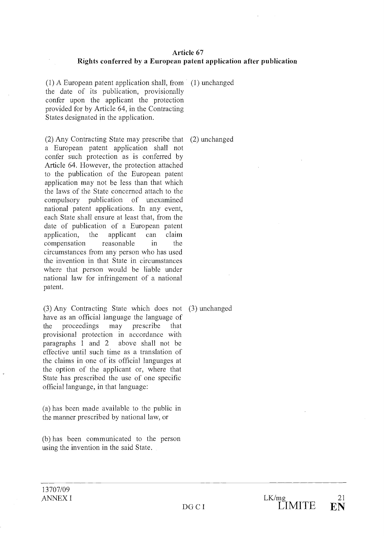#### Article 67 Rights conferred by a European patent application after publication

(1) A European patent application shall, from  $(1)$  unchanged the date of its publication, provisionally confer upon the applicant the protection provided for by Article 64, in the Contracting States designated in the application.

 $(2)$  Any Contracting State may prescribe that  $(2)$  unchanged a European patent application shall not confer such protection as is conferred by Article 64. However, the protection attached to the publication of the European patent application may not be less than that which the laws of the State concerned attach to the compulsory publication of unexamined national patent applications. In any event, each State shall ensure at least that, from the date of publication of a European patent application, the applicant can claim compensation reasonable in the circumstances from any person who has used the invention in that State in circumstances where that person would be liable under national law for infringement of a national patent.

Any Contracting State which does not (3) unchanged have as an official language the language of the proceedings may prescribe that provisional protection in accordance with paragraphs 1 and 2 above shall not be effective until such time as a translation of the claims in one of its official languages at the option of the applicant or, where that State has prescribed the use of one specific official language, in that language:

has been made available to the public in the mariner prescribed by national law, or

(b) has been communicated to the person using the invention in the said State.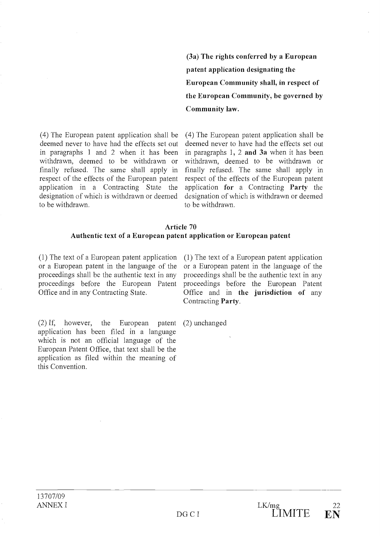$(4)$  The European patent application shall be deemed never to have had the effects set out in paragraphs <sup>1</sup> and 2 when it has been withdrawn, deemed to be withdrawn or finally refused. The same shall apply in respect of the effects of the European patent application in a Contracting State the designation of which is withdrawn or deemed to be withdrawn.

(3a) The rights conferred by a European patent application designating the European Community shall, in respect of the European Community, be governed by Community law.

(4) The European patent application shall be deemed never to have had the effects set out in paragraphs 1, 2 and 3a when it has been withdrawn, deemed to be withdrawn or finally refused. The same shall apply in respect of the effects of the European patent application for a Contracting Party the designation of which is withdrawn or deemed to be withdrawn.

#### Article 70 Authentic text of a European patent application or European patent

 $(1)$  The text of a European patent application or a European patent in the language of the proceedings shall be the authentic text in any proceedings before the European Patent Office and in any Contracting State.

 $(1)$  The text of a European patent application or a European patent in the language of the proceedings shall be the authentic text in any proceedings before the European Patent Office and in the jurisdiction of any Contracting Party.

 $(2)$  If, however, the European patent application has been filed in a language which is not an official language of the European Patent Office, that text shall be the application as filed within the meaning of this Convention.

(2) unchanged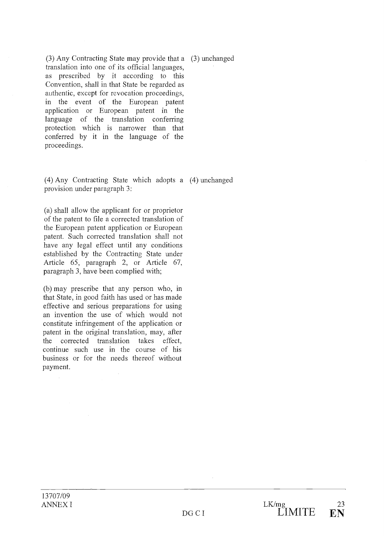$(3)$  Any Contracting State may provide that a  $(3)$  unchanged translation into one of its official languages, as prescribed by it according to this Convention, shall in that State be regarded as authentic, except for revocation proceedings, in the event of the European patent application or European patent in the language of the translation conferring protection which is narrower than that conferred by it in the language of the proceedings.

Any Contracting State which adopts a (4) unchanged provision under paragraph 3:

(a) shall allow the applicant for or proprietor of the patent to file a corrected translation of the European patent application or European patent. Such corrected translation shall not have any legal effect until any conditions established by the Contracting State under Article 65, paragraph 2, or Article 67, paragraph 3, have been complied with;

(b) may prescribe that any person who, in that State, in good faith has used or has made effective and serious preparations for using an invention the use of which would not constitute infringement of the application or patent in the original translation, may, after the corrected translation takes effect, continue such use in the course of his business or for the needs thereof without payment.

13707/09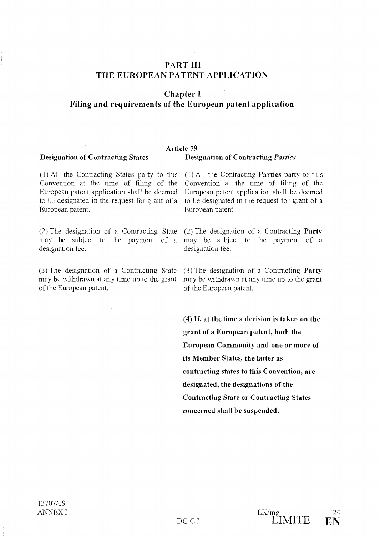# PART III THE EUROPEAN PATENT APPLICATION

Chapter I

# Filing and requirements of the European patent application

#### Article 79 Designation of Contracting States Designation of Contracting Parties

 $(1)$  All the Contracting States party to this Convention at the time of filing of the European patent application shall be deemed to be designated in the request for grant of a European patent.

designation fee.

 $(3)$  The designation of a Contracting State may be withdrawn at any time up to the grant of the European patent.

 $(1)$  All the Contracting **Parties** party to this Convention at the time of filing of the European patent application shall be deemed to be designated in the request for grant of a European patent.

The designation of a Contracting State (2) The designation of a Contracting Party may be subject to the payment of a may be subject to the payment of a designation fee.

> $(3)$  The designation of a Contracting **Party** may be withdrawn at any time up to the grant of the European patent.

(4) If, at the time a decision is taken on the grant of a European patent, both the European Community and one 9r more of its Member States, the latter as contracting states to this Convention, are designated, the designations of the Contracting State or Contracting States concerned shall be suspended.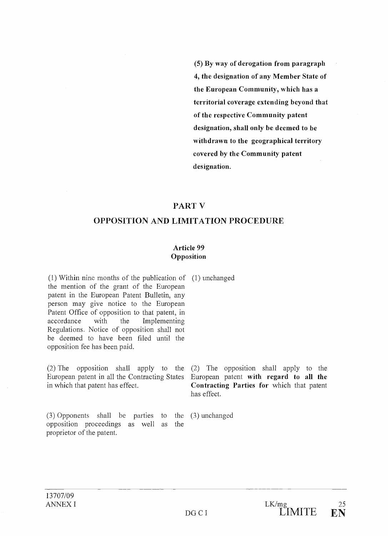(5) By way of derogation from paragraph 4, the designation of any Member State of the European Community, which has a territorial coverage extending beyond that of the respective Community patent designation, shall only be deemed to be withdrawn to the geographical territory covered by the Community patent designation.

# PART V

# OPPOSITION AND LIMITATION PROCEDURE

# Article 99 Opposition

Within nine months of the publication of (1) unchanged the mention of the grant of the European patent in the European Patent Bulletin, any person may give notice to the European Patent Office of opposition to that patent, in accordance with the Implementing Regulations. Notice of opposition shall not be deemed to have been filed until the opposition fee has been paid.

European patent in ail the Contracting States in which that patent has effect.

 $(3)$  Opponents shall be parties to the  $(3)$  unchanged opposition proceedings as well as the proprietor of the patent.

The opposition shall apply to the (2) The opposition shall apply to the European patent with regard to all the Contracting Parties for which that patent has effect.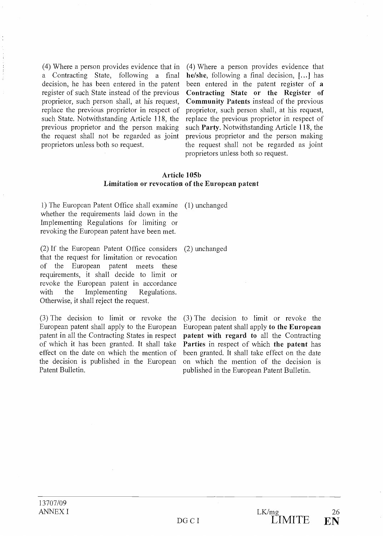(4) Where a person provides evidence that in a Contracting State, following a final decision, he has been entered in the patent register of such State instead of the previous proprietor, such person shall, at his request, replace the previous proprietor in respect of such State. Notwithstanding Article 118, the previous proprietor and the person making the request shall not be regarded as joint proprietors unless both so request.

(4) Where a person provides evidence that he/she, following a final decision, [...] has been entered in the patent register of a Contracting State or the Register of Community Patents instead of the previous proprietor, such person shall, at his request, replace the previous proprietor in respect of such Party. Notwithstanding Article 118, the previous proprietor and the person making the request shall not be regarded as joint proprietors unless both so request.

#### Article 105b Limitation or revocation of the European patent

1) The European Patent Office shall examine whether the requirements laid down in the Implementing Regulations for limiting or revoking the European patent have been met.

(2) If the European Patent Office considers that the request for limitation or revocation of the European patent meets these requirements, it shall decide to limit or revoke the European patent in accordance with the Implementing Regulations. Otherwise, it shall reject the request.

 $(3)$  The decision to limit or revoke the European patent shall apply to the European patent in ail the Contracting States in respect of which it has been granted. It shall take effect on the date on which the mention of the decision is published in the European Patent Bulletin.

 $(1)$  unchanged

 $(2)$  unchanged

 $(3)$  The decision to limit or revoke the European patent shall apply to the European patent with regard to all the Contracting Parties in respect of which the patent has been granted. It shall take effect on the date on which the mention of the decision is published in the European Patent Bulletin.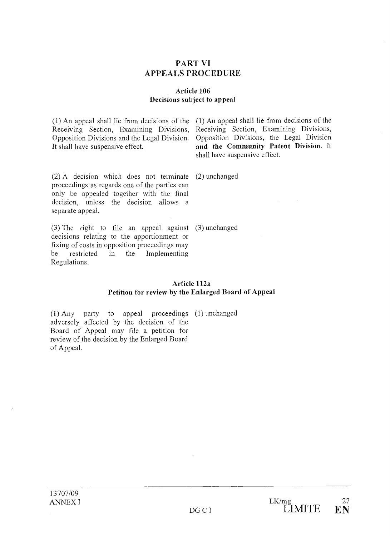# PART VI APPEALS PROCEDURE

# Article 106 Decisions subject to appeal

Receiving Section, Examining Divisions, Opposition Divisions and the Legal Division. It shall have suspensive effect.

An appeal shall lie from decisions of the (1) An appeal shall lie from decisions of the Receiving Section, Examining Divisions, Opposition Divisions, the Legal Division and the Community Patent Division. It shall have suspensive effect.

A decision which does not terminate (2) unchanged proceedings as regards one of the parties can only be appealed together with the final decision, unless the decision allows a separate appeal.

The right to file an appeal against (3) unchanged decisions relating to the apportionment or fixing of costs in opposition proceedings may be restricted in the Implementing Regulations.

> Article 112a Petition for review by the Enlarged Board of Appeal

(1) Any party to appeal proceedings (1) unchanged adversely affected by the decision of the Board of Appeal may file a petition for review of the decision by the Enlarged Board of Appeal.

13707/09 ANNEX I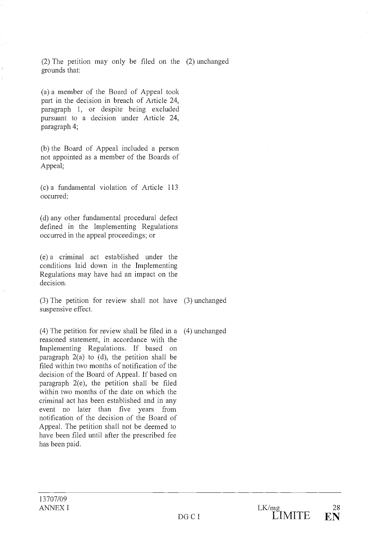(2) The petition may only be filed on the (2) unchanged grounds that:

(a) a member of the Board of Appeal took part in the decision in breach of Article 24, paragraph 1, or despite being excluded pursuant to a decision under Article 24, paragraph 4;

(b) the Board of Appeal included a person not appointed as a member of the Boards of Appeal;

a fundamental violation of Article 113 occurred;

(d) any other fundamental procedural defect defined in the Implementing Regulations occurred in the appeal proceedings; or

 $(e)$  a criminal act established under the conditions laid down in the Implementing Regulations may have had an impact on the decision.

The petition for review shall not have (3) unchanged suspensive effect.

 $(4)$  The petition for review shall be filed in a reasoned statement, in accordance with the Implementing Regulations. If based on paragraph 2(a) to (d), the petition shall be filed within two months of notification of the decision of the Board of Appeal. If based on paragraph  $2(e)$ , the petition shall be filed within two months of the date on which the criminal act has been established and in any event no later than five years from notification of the decision of the Board of Appeal. The petition shall not be deemed to have been filed until after the prescribed fee has been paid.  $(4)$  unchanged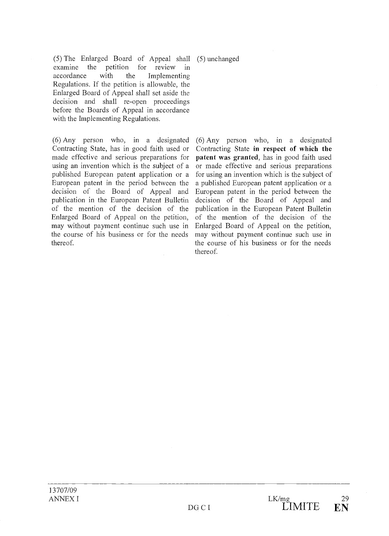$(5)$  The Enlarged Board of Appeal shall examine the petition for review in accordance with the Implementing Regulations. If the petition is allowable, the Enlarged Board of Appeal shall set aside the decision and shall re-open proceedings before the Boards of Appeal in accordance with the Implementing Regulations.

 $(6)$  Any person who, in a designated Contracting State, has in good faith used or made effective and serious preparations for using an invention which is the subject of a published European patent application or a European patent in the period between the deeision of the Board of Appeal and publication in the European Patent Bulletin of the mention of the decision of the Enlarged Board of Appeal on the petition, may without payment continue such use in the course of his business or for the needs thereof.

 $(5)$  unchanged

 $(6)$  Any person who, in a designated Contracting State in respect of which the patent was granted, has in good faith used or made effective and serious preparations for using an invention which is the subject of a published European patent application or a European patent in the period between the decision of the Board of Appeal and publication in the European Patent Bulletin of the mention of the decision of the Enlarged Board of Appeal on the petition, may without payment continue such use in the course of his business or for the needs thereof.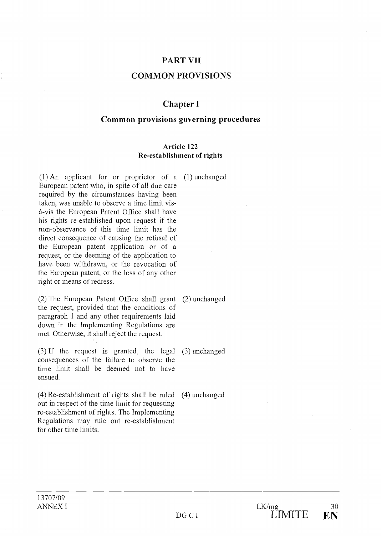# PART VII

# COMMON PROVISIONS

# Chapter I

# Common provisions governing procedures

#### Article 122 Re-establishment of rights

 $(1)$  An applicant for or proprietor of a  $(1)$  unchanged European patent who, in spite of ail due care required by the cireumstances having been taken, was unable to observe a time limit visà-vis the European Patent Office shall have his rights re-established upon request if the non-observance of this time limit has the direct consequence of causing the refusai of the European patent application or of a request, or the deeming of the application to have been withdrawn, or the revocation of the European patent, or the loss of any other right or means of redress.

 $(2)$  The European Patent Office shall grant  $(2)$  unchanged the request, provided that the conditions of paragraph 1 and any other requirements laid down in the Implementing Regulations are met. Otherwise, it shall reject the request.

 $(3)$  If the request is granted, the legal  $(3)$  unchanged consequences of the failure to observe the time limit shall be deemed not to have ensued.

out in respect of the time limit for requesting re-establishment of rights. The Implementing Regulations may rule out re-establishment

 $(4)$  Re-establishment of rights shall be ruled  $(4)$  unchanged

for other time limits.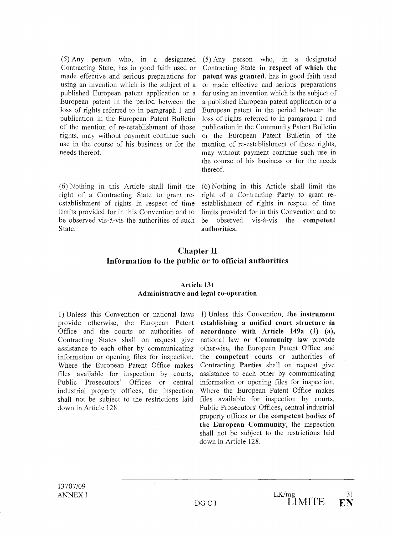$(5)$  Any person who, in a designated Contracting State, has in good faith used or made effective and serious preparations for using an invention which is the subject of a published European patent application or a European patent in the period between the loss of rights referred to in paragraph 1 and publication in the European Patent Bulletin of the mention of re-establishment of those rights, may without payment continue such use in the course of his business or for the needs thereof.

 $(6)$  Nothing in this Article shall limit the right of a Contracting State to grant reestablishment of rights in respect of time limits provided for in this Convention and to be observed vis-à-vis the authorities of such be observed State.

 $(5)$  Any person who, in a designated Contracting State in respect of which the patent was granted, has in good faith used or made effective and serious preparations for using an invention which is the subject of a published European patent application or a European patent in the period between the loss of rights referred to in paragraph 1 and publication in the Community Patent Bulletin or the European Patent Bulletin of the mention of re-establishment of those rights, may without payment continue such use in the course of his business or for the needs thereof.

 $(6)$  Nothing in this Article shall limit the right of a Contracting Party to grant reestablishment of rights in respect of time limits provided for in this Convention and to vis-à-vis the competent authorities.

# Chapter II Information to the public or to official authorities

#### Article 131 Administrative and legal co-operation

1) Unless this Convention or national laws provide otherwise, the European Patent Office and the courts or authorities of Contracting States shall on request give assistance to each other by communicating information or opening files for inspection. Where the European Patent Office makes files available for inspection by courts, Public Prosecutors' Offices or central industrial property offices, the inspection shall not be subject to the restrictions laid down in Article 128.

1) Unless this Convention, the instrument establishing a unified court structure in accordance with Article 149a (1) (a), national law or Community law provide otherwise, the European Patent Office and the competent courts or authorities of Contracting **Parties** shall on request give assistance to each other by communicating information or opening files for inspection. Where the European Patent Office makes files available for inspection by courts, Public Prosecutors' Offices, central industrial property offices or the competent bodies of the European Community, the inspection shall not be subject to the restrictions laid down in Article 128.

13707/09 ANNEX I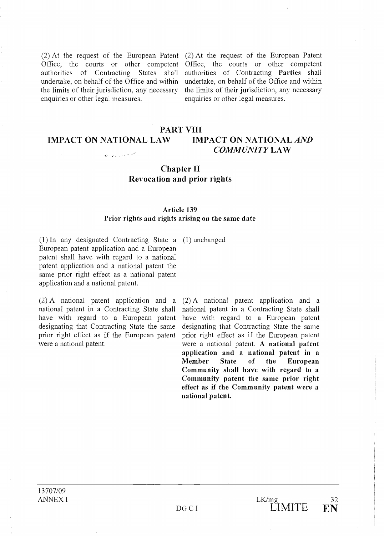(2) At the request of the European Patent Office, the courts or other competent authorities of Contracting States shall undertake, on behalf of the Office and within the limits of their jurisdiction, any necessary enquiries or other legal measures.

(2) At the request of the European Patent Office, the courts or other competent authorities of Contracting Parties shall undertake, on behalf of the Office and within the limits of their jurisdiction, any necessary enquiries or other legal measures.

#### PART VIII IMPACT ON NATIONAL LAW IMPACT ON NATIONAL AND COMMUNITY LAW  $\phi$  , and a set of  $\phi$

# Chapter II Revocation and prior rights

#### Article 139 Prior rights and rights arising on the same date

In any designated Contracting State a (1) unchanged European patent application and a European patent shall have with regard to a national patent application and a national patent the same prior right effect as a national patent application and a national patent.

 $(2)$  A national patent application and a national patent in a Contracting State shall have with regard to a European patent designating that Contracting State the same prior right effect as if the European patent were a national patent.

A national patent application and a national patent in a Contracting State shall have with regard to a European patent designating that Contracting State the same prior right effect as if the European patent were a national patent. A national patent application and a national patent in a Member State of the European Community shall have with regard to a Community patent the same prior right effect as if the Community patent were a national patent.

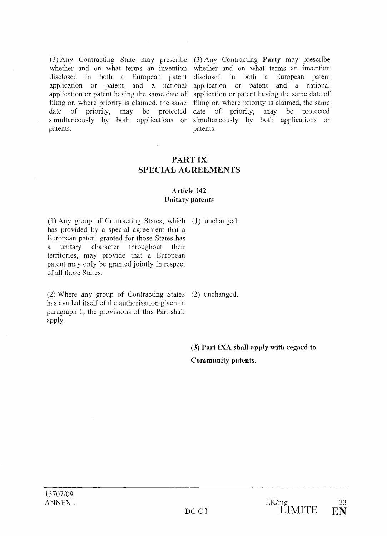filing or, where priority is claimed, the same<br>date of priority, may be protected may be protected simultaneously by both applications or patents.

(3) Any Contracting State may prescribe (3) Any Contracting Party may prescribe whether and on what terms an invention whether and on what terms an invention disclosed in both a European patent disclosed in both a European patent application or patent and a national application or patent and a national application or patent having the same date of application or patent having the same date of filing or, where priority is claimed, the same<br>date of priority, may be protected date of priority, simultaneously by both applications or patents.

# PART IX SPECIAL AGREEMENTS

# Article 142 Unitary patents

Any group of Contracting States, which (1) unchanged. has provided by a special agreement that a European patent granted for those States has a unitary character throughout their territories, may provide that a European patent may only be granted jointly in respect of ail those States.

Where any group of Contracting States (2) unchanged. has availed itself of the authorisation given in paragraph 1, the provisions of this Part shall apply.

(3) Part IXA shall apply with regard to Community patents.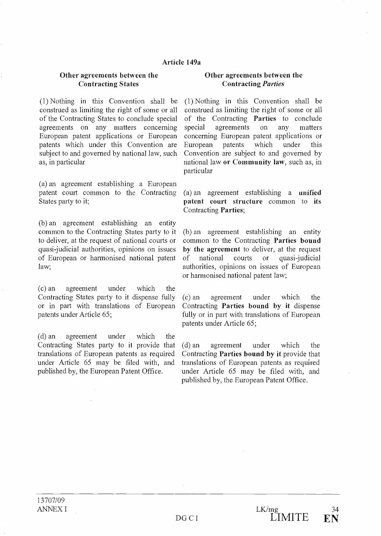#### Article 149a

## Other agreements between the Contracting States

 $(1)$  Nothing in this Convention shall be construed as limiting the right of some or ail of the Contracting States to conclude special agreements on any matters concerning special European patent applications or European patents which under this Convention are subject to and governed by national law, such as, in particular

an agreement establishing a European patent court common to the Contracting States party to it;

(b) an agreement establishing an entity common to the Contracting States party to it to deliver, at the request of national courts or quasi-judicial authorities, opinions on issues of European or harmonised national patent law;

an agreement under which the Contracting States party to it dispense fully (c) an or in part with translations of European patents under Article 65;

(d) an agreement under which the Contracting States party to it provide that (d) an translations of European patents as required under Article 65 may be filed with, and published by, the European Patent Office.

#### Other agreements between the Contracting Parties

(1) Nothing in this Convention shall be construed as limiting the right of some or ail of the Contracting Parties to conclude agreements on any matters concerning European patent applications or European patents which under this Convention are subject to and governed by national law or Community law, such as, in particular

(a) an agreement establishing a unified patent court structure common to its Contracting Parties;

(b) an agreement establishing an entity common to the Contracting Parties bound by the agreement to deliver, at the request national courts or quasi-judicial authorities, opinions on issues of European or harmonised national patent law;

agreement under which the Contracting Parties bound by it dispense fully or in part with translations of European patents under Article 65;

agreement under which the Contracting Parties bound by it provide that translations of European patents as required under Article 65 may be filed with, and published by, the European Patent Office.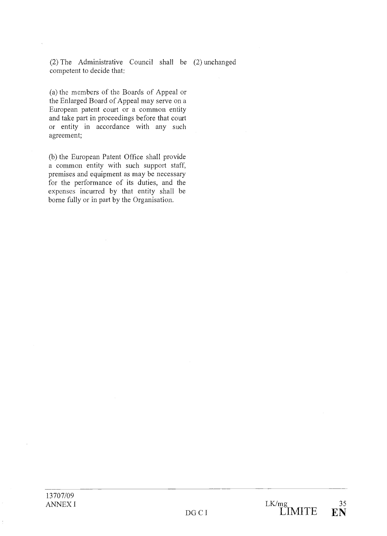(2) The Administrative Council shall be  $(2)$  unchanged competent to decide that:

(a) the members of the Boards of Appeal or the Enlarged Board of Appeal may serve on a European patent court or a common entity and take part in proceedings before that court or entity in accordance with any such agreement;

(b) the European Patent Office shall provide a common entity with such support staff, premises and equipment as may be necessary for the performance of its duties, and the expenses incurred by that entity shall be borne fully or in part by the Organisation.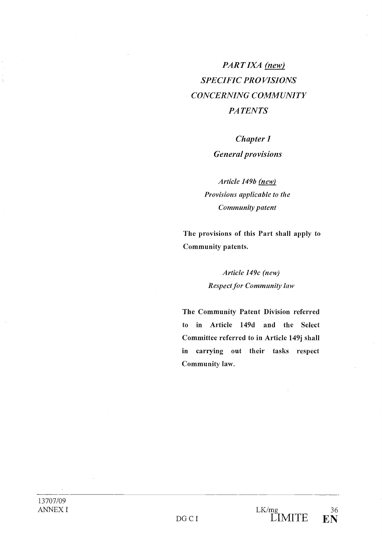# PART IXA (new) SPECIFIC PROVISIONS CONCERNING COMMUNITY **PATENTS**

# Chapter I

# General provisions

Article 149b (new) Provisions applicable to the Community patent

The provisions of this Part shall apply to Community patents.

# Article 149c (new) Respect for Community law

The Community Patent Division referred to in Article 149d and the Select Committee referred to in Article 149j shall in carrying out their tasks respect Community law.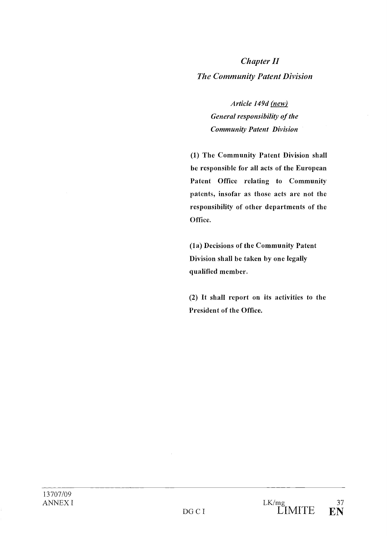# Chapter II The Community Patent Division

Article 149d (new) General responsibility of the Community Patent Division

(1) The Community Patent Division shall be responsible for ail acts of the European Patent Office relating to Community patents, insofar as those acts are not the responsibility of other departments of the Office.

(la) Decisions of the Community Patent Division shall be taken by one legally qualified member.

(2) It shall report on its activities to the President of the Office.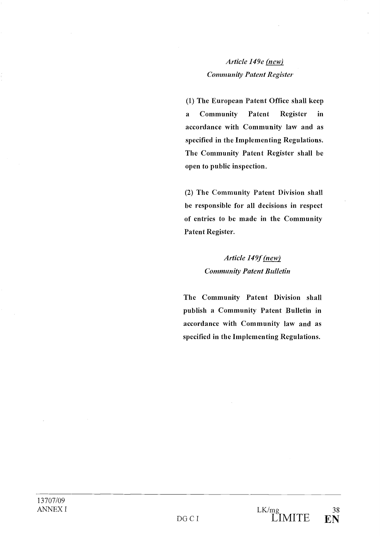# Article 149e (new) Community Patent Register

(1) The European Patent Office shall keep a Community Patent Register in accordance with Community law and as specified in the Implementing Regulations. The Community Patent Register shall be open to public inspection.

(2) The Community Patent Division shall be responsible for ail decisions in respect of entries to be made in the Community Patent Register.

# Article 149f (new) Community Patent Bulletin

The Community Patent Division shall publish a Community Patent Bulletin in accordance with Community law and as specified in the Implementing Regulations.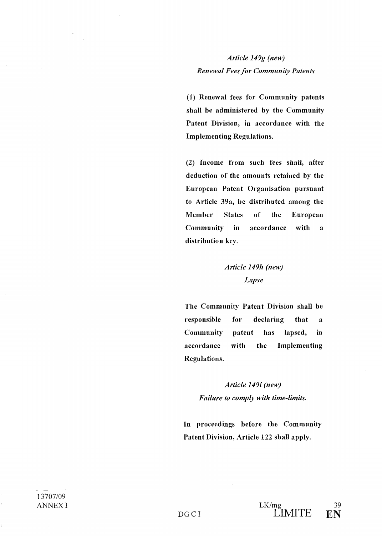Article 149g (new) **Renewal Fees for Community Patents** 

(1) Renewal fees for Community patents shall be administered by the Community Patent Division, in accordance with the Implementing Regulations.

(2) Income from such fees shall, after deduction of the amounts retained by the European Patent Organisation pursuant to Article 39a, be distributed among the Member States of the European Community in accordance with a distribution key.

# Article 149h (new) Lapse

The Community Patent Division shall be responsible for declaring that a Community patent has lapsed, in accordance with the Implementing Regulations.

> Article 149i (new) Failure to comply with time-limits.

In proceedings before the Community Patent Division, Article 122 shall apply.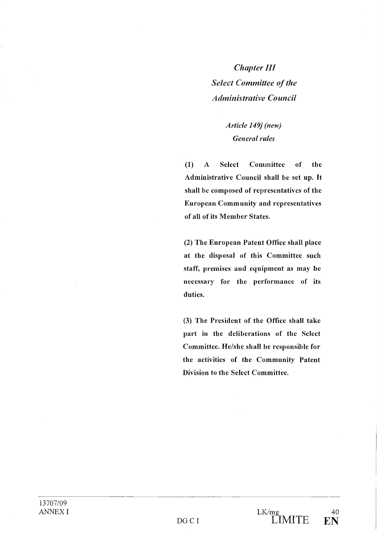Chapter III Select Committee of the Administrative Council

# Article 149j (new) General rules

 $\left( 1\right)$ A Select Committee of the Administrative Council shall be set up. It shall be composed of representatives of the European Community and representatives of ail of its Member States.

(2) The European Patent Office shall place at the disposai of this Committee such staff, premises and equipment as may be necessary for the performance of its duties.

(3) The President of the Office shall take part in the deliberations of the Select Committee. He/she shall be responsible for the activities of the Community Patent Division to the Select Committee.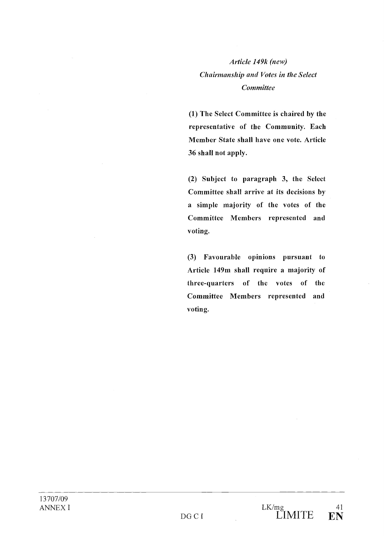# Article 149k (new) Chairmanship and Votes in the Select **Committee**

(1) The Select Committee is chaired by the representative of the Community. Each Member State shall have one vote. Article 36 shall not apply.

(2) Subject to paragraph 3, the Select Committee shall arrive at its decisions by a simple majority of the votes of the Committee Members represented and voting.

Favourable opinions pursuant to Article 149m shall require a majority of three-quarters of the votes of the Committee Members represented and voting.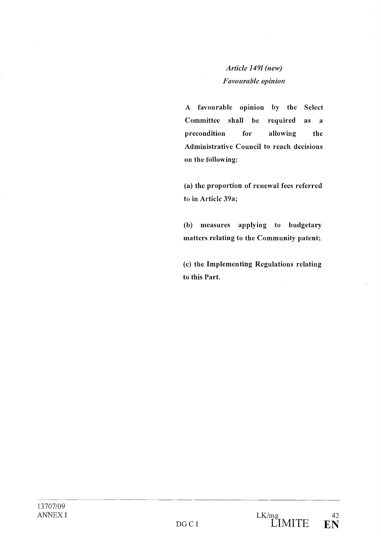# Article 1491 (new) Favourable opinion

A favourable opinion by the Select Committee shall be required as a precondition for allowing the Administrative Council to reach decisions on the following:

(a) the proportion of renewal fees referred to in Article 39a;

measures applying to budgetary matters relating to the Community patent;

(c) the Implementing Regulations relating to this Part.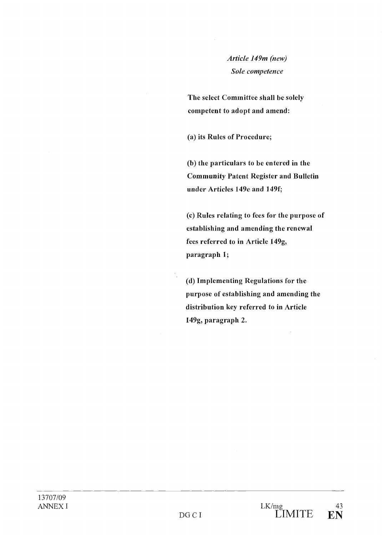# Article 149m (new) Sole competence

The select Committee shall be solely competent to adopt and amend:

(a) its Rules of Procedure;

 $(b)$  the particulars to be entered in the Community Patent Register and Bulletin under Articles 149e and 1494

(c) Rules relating to fees for the purpose of establishing and amending the renewal fees referred to in Article 149g, paragraph 1;

(d) Implementing Regulations for the purpose of establishing and amending the distribution key referred to in Article 149g, paragraph 2.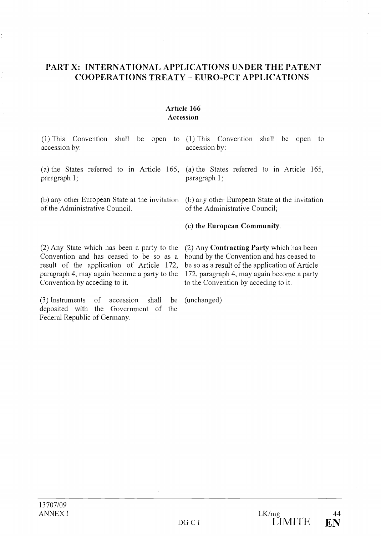# PART X: INTERNATIONAL APPLICATIONS UNDER THE PATENT COOPERATIONS TREATY - EURO-PCT APPLICATIONS

# Article 166 Accession

| $(1)$ This Convention shall be open to $(1)$ This Convention shall be open to<br>accession by:                                                                                                                       | accession by:                                                                                                                                                                                                                  |
|----------------------------------------------------------------------------------------------------------------------------------------------------------------------------------------------------------------------|--------------------------------------------------------------------------------------------------------------------------------------------------------------------------------------------------------------------------------|
| (a) the States referred to in Article 165, (a) the States referred to in Article 165,<br>paragraph 1;                                                                                                                | paragraph 1;                                                                                                                                                                                                                   |
| (b) any other European State at the invitation (b) any other European State at the invitation<br>of the Administrative Council.                                                                                      | of the Administrative Council;                                                                                                                                                                                                 |
|                                                                                                                                                                                                                      | (c) the European Community.                                                                                                                                                                                                    |
| (2) Any State which has been a party to the<br>Convention and has ceased to be so as a<br>result of the application of Article 172,<br>paragraph 4, may again become a party to the<br>Convention by acceding to it. | (2) Any Contracting Party which has been<br>bound by the Convention and has ceased to<br>be so as a result of the application of Article<br>172, paragraph 4, may again become a party<br>to the Convention by acceding to it. |

Instruments of accession shall be (unchar deposited with the Government of the Federal Republic of Germany.

(unchanged)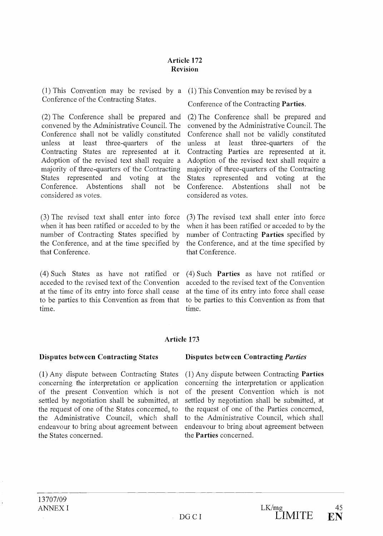# Article 172 Revision

This Convention may be revised by a This Convention may be revised by a Conference of the Contracting States.

 $(2)$  The Conference shall be prepared and convened by the Administrative Council. The Conference shall not be validly constituted unless at least three-quarters of the unless at Contracting States are represented at it. Adoption of the revised text shall require a majority of three-quarters of the Contracting States represented and voting at the Conference. Abstentions shall not be considered as votes.

 $(3)$  The revised text shall enter into force when it has been ratified or acceded to by the number of Contracting States specified by the Conference, and at the time specified by that Conference.

(4) Such States as have not ratified or acceded to the revised text of the Convention at the time of its entry into force shall cease to be parties to this Convention as from that time.

Conference of the Contracting Parties.

 $(2)$  The Conference shall be prepared and convened by the Administrative Council. The Conference shall not be validly constituted least three-quarters of the Contracting Parties are represented at it. Adoption of the revised text shall require a majority of three-quarters of the Contracting States represented and voting at the Conference. Abstentions shall not be considered as votes.

 $(3)$  The revised text shall enter into force when it has been ratified or acceded to by the number of Contracting Parties specified by the Conference, and at the time specified by that Conference.

 $(4)$  Such **Parties** as have not ratified or acceded to the revised text of the Convention at the time of its entry into force shall cease to be parties to this Convention as from that time.

# Article 173

## Disputes between Contracting States

(1) Any dispute between Contracting States concerning the interpretation or application of the present Convention which is not settled by negotiation shall be submitted, at the request of one of the States concerned, to the Administrative Couneil, which shall endeavour to bring about agreement between the States concemed.

## Disputes between Contracting Parties

(1) Any dispute between Contracting Parties concerning the interpretation or application of the present Convention which is not settled by negotiation shall be submitted, at the request of one of the Parties concerned, to the Administrative Council, which shall endeavour to bring about agreement between the Parties concerned.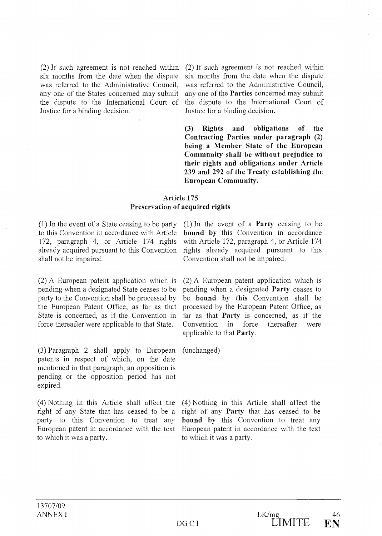(2) If such agreement is not reached within six months from the date when the dispute was referred to the Administrative Council, any one of the States concerned may submit the dispute to the International Court of Justice for a binding decision.

 $(2)$  If such agreement is not reached within six months from the date when the dispute was referred to the Administrative Council, any one of the Parties concerned may submit the dispute to the International Court of Justice for a binding decision.

(3) Rights and obligations of the Contracting Parties under paragraph (2) being a Member State of the European Community shall be without prejudice to their rights and obligations under Article 239 and 292 of the Treaty establishing the European Community.

# Article 175 Preservation of acquired rights

 $(1)$  In the event of a State ceasing to be party to this Convention in accordance with Article 172, paragraph 4, or Article 174 rights already acquired pursuant to this Convention shall not be impaired.

 $(2)$  A European patent application which is pending when a designated State ceases to be party to the Convention shall be processed by the European Patent Office, as far as that State is concerned, as if the Convention in force thereafter were applicable to that State.

 $(3)$  Paragraph 2 shall apply to European patents in respect of which, on the date mentioned in that paragraph, an opposition is pending or the opposition period has not expired.

Nothing in this Article shall affect the right of any State that has ceased to be a party to this Convention to treat any European patent in accordance with the text to which it was a party.

 $(1)$  In the event of a **Party** ceasing to be bound by this Convention in accordance with Article 172, paragraph 4, or Article 174 rights already acquired pursuant to this Convention shall not be impaired.

A European patent application which is pending when a designated Party ceases to be bound by this Convention shall be processed by the European Patent Office, as far as that Party is concerned, as if the Convention in force thereafter were applicable to that Party.

(unchanged)

(4) Nothing in this Article shall affect the right of any Party that has ceased to be bound by this Convention to treat any European patent in accordance with the text to which it was a party.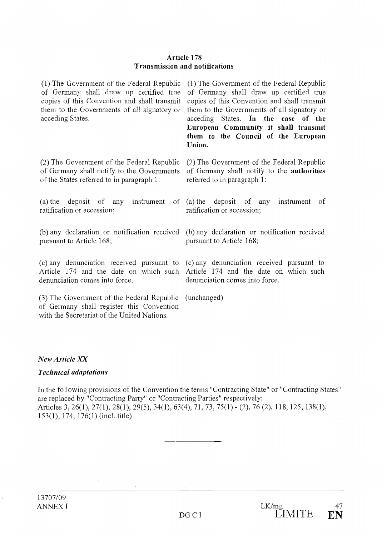#### Article 178 Transmission and notifications

of Germany shall draw up certified true copies of this Convention and shall transmit them to the Governments of ail signatory or acceding States.

 $(2)$  The Government of the Federal Republic of Germany shall notify to the Governments of the States referred to in paragraph 1:

(a) the deposit of any instrument of (a) the deposit of any instrument of ratification or accession; ratification or accession;

any declaration or notification received (b) any declaration or notification received pursuant to Article 168; pursuant to Article 168;

(c) any denunciation received pursuant to Article 174 and the date on which such denunciation comes into force.

(3) The Government of the Federal Republic of Germany shall register this Convention with the Secretariat of the United Nations.

The Government of the Federal Republic The Government of the Federal Republic of Germany shall draw up certified true copies of this Convention and shall transmit them to the Govemments of ail signatory or acceding States. In the case of the European Community it shall transmit them to the Council of the European Union.

> $(2)$  The Government of the Federal Republic of Germany shall notify to the authorities referred to in paragraph 1:

(c) any denunciation received pursuant to Article 174 and the date on which such denunciation comes into force.

(unchanged)

## New Article XX

## Technical adaptations

In the following provisions of the Convention the terms "Contracting State" or "Contracting States" are replaced by "Contracting Party" or "Contracting Parties" respectively: Articles 3, 26(1), 27(1), 28(1), 29(5), 34(1), 63(4), 71, 73, 75(1) - (2), 76(2), 118, 125, 138(1), 153(1), 174, 176(1) (incl. title)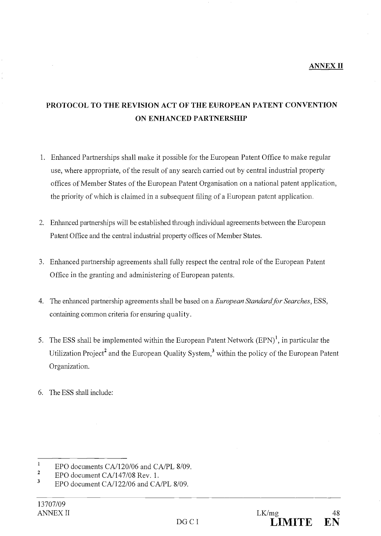# ANNEX II

# PROTOCOL TO THE REVISION ACT OF THE EUROPEAN PATENT CONVENTION ON ENHANCED PARTNERSHIP

- 1. Enhanced Partnerships shall make it possible for the European Patent Office to make regular use, where appropriate, of the result of any search carried out by central industrial property offices of Member States of the European Patent Organisation on a national patent application, the priority of which is claimed in a subsequent filing of a European patent application.
- Enhanced partnerships will be established through individual agreements between the European Patent Office and the central industrial property offices of Member States.
- Enhanced partnership agreements shall fully respect the central role of the European Patent Office in the granting and administering of European patents.
- 4. The enhanced partnership agreements shall be based on a *European Standard for Searches*, ESS, containing common criteria for ensuring quality.
- 5. The ESS shall be implemented within the European Patent Network  $(EPN)^1$ , in particular the Utilization Project<sup>2</sup> and the European Quality System,<sup>3</sup> within the policy of the European Patent Organization.
- 6. The ESS shall include:

 $^{1}$  EPO documents CA/120/06 and CA/PL 8/09.

<sup>&</sup>lt;sup>2</sup> EPO document CA/147/08 Rev. 1.

EPO document CA/122/06 and CA/PL 8/09.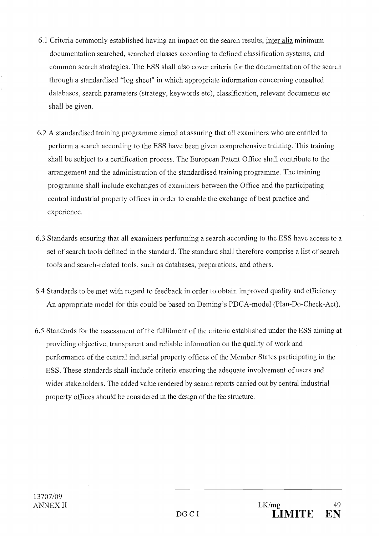- 6.1 Criteria commonly established having an impact on the search results, inter alia minimum documentation searched, searched classes according to defined classification systems, and common search strategies. The ESS shall also cover criteria for the documentation of the search through a standardised "log sheet" in which appropriate information concerning consulted databases, search parameters (strategy, keywords etc), classification, relevant documents etc shall be given.
- 6.2 A standardised training programme aimed at assuring that all examiners who are entitled to perform a search according to the ESS have been given comprehensive training. This training shall be subject to a certification process. The European Patent Office shall contribute to the arrangement and the administration of the standardised training programme. The training programme shall include exchanges of examiners between the Office and the participating central industrial property offices in order to enable the exchange of best practice and experience.
- 6.3 Standards ensuring that ail examiners performing a search according to the ESS have access to a set of search tools defined in the standard. The standard shall therefore comprise a list of search tools and search-related tools, such as databases, preparations, and others.
- 6.4 Standards to be met with regard to feedback in order to obtain improved quality and efficiency. An appropriate model for this could be based on Deming's PDCA-model (Plan-Do-Check-Act).
- 6.5 Standards for the assessment of the fulfilment of the criteria established under the ESS aiming at providing objective, transparent and reliable information on the quality of work and performance of the central industrial property offices of the Member States participating in the ESS. These standards shall include criteria ensuring the adequate involvement of users and wider stakeholders. The added value rendered by search reports carried out by central industrial property offices should be considered in the design of the fee structure.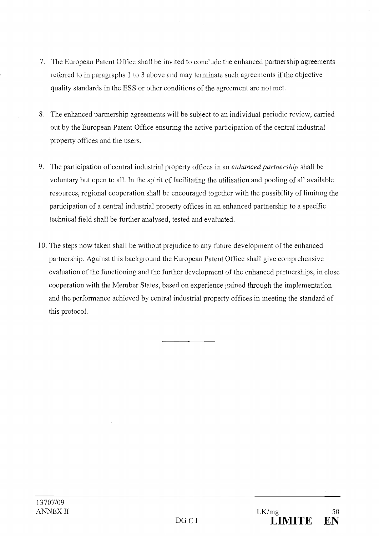- 7. The European Patent Office shall be invited to conclude the enhanced partnership agreements referred to in paragraphs 1 to 3 above and may terminate such agreements if the objective quality standards in the ESS or other conditions of the agreement are not met.
- The enhanced partnership agreements will be subject to an individual periodic review, carried out by the European Patent Office ensuring the active participation of the central industrial property offices and the users.
- 9. The participation of central industrial property offices in an enhanced partnership shall be voluntary but open to ail. In the spirit of facilitating the utilisation and pooling of ail available resources, regional cooperation shall be encouraged together with the possibility of limiting the participation of a central industrial property offices in an enhanced partnership to a specific technical field shall be further analysed, tested and evaluated.
- 10. The steps now taken shall be without prejudice to any future development of the enhanced partnership. Against this background the European Patent Office shall give comprehensive evaluation of the functioning and the further development of the enhanced partnerships, in close cooperation with the Member States, based on experience gained through the implementation and the performance achieved by central industrial property offices in meeting the standard of this protocol.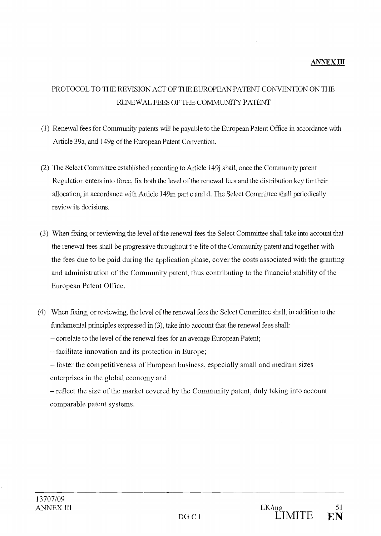# PROTOCOL TO THE REVISION ACT OF THE EUROPEAN PAIENT CONVENTION ON THE RENEWAL FEES OF THE COMMUNITY PAIENT

- (I) Renewal fees for Community patents vvill be payable to the European Patent Office in accordance with Article 39a, and 149g of the European Patent Convention.
- (2) The Select Committee established according to Article 149 shall, once the Community patent Regulation enters into force, fix both the level of the renewal fees and the distribution key for their allocation, in accordance with Article 149m part c and d. The Select Committee shall periodically review its decisions.
- (3) When fixing or reviewing the level of the renewal fees the Select Committee shall take into account that the renewal fees shall be progressive throughout the life of the Community patent and together with the fees due to be paid during the application phase, cover the costs associated with the granting and administration of the Community patent, thus contributing to the financial stability of the European Patent Office.
- When fixing, or revievving, the level of the renewal fees the Select Committee shall, in addition to fundamental principles expressed in (3), take into account that the renewal fees shall:

- correlate to the level of the renewal fees for an average European Patent;

facilitate innovation and its protection in Europe;

foster the competitiveness of European business, especially small and medium sizes enterprises in the global economy and

- reflect the size of the market covered by the Community patent, duly taking into account comparable patent systems.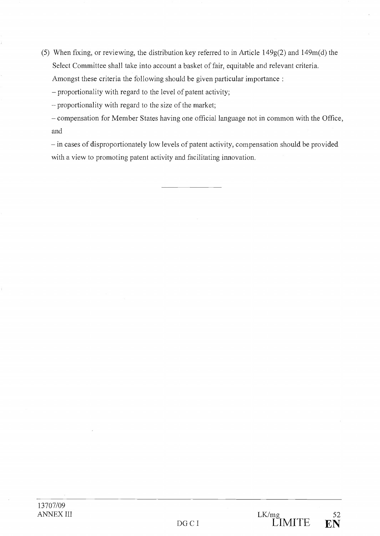(5) When fixing, or reviewing, the distribution key referred to in Article 149g(2) and 149m(d) the Select Committee shall take into account a basket of fair, equitable and relevant criteria. Amongst these criteria the following should be given particular importance :

proportionality with regard to the level of patent activity;

proportionality with regard to the size of the market;

- compensation for Member States having one official language not in common with the Office, and

- in cases of disproportionately low levels of patent activity, compensation should be provided with a view to promoting patent activity and facilitating innovation.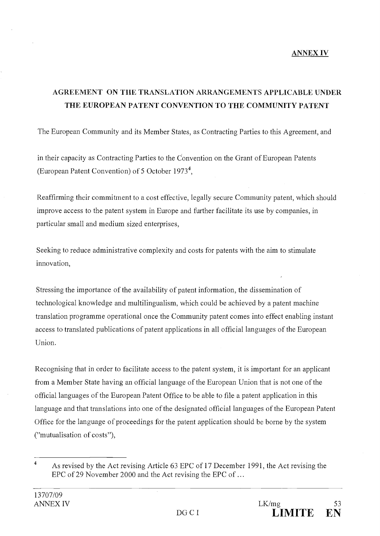# ANNEX IV

# AGREEMENT ON THE TRANSLATION ARRANGEMENTS APPLICABLE UNDER THE EUROPEAN PATENT CONVENTION TO THE COMMUNITY PATENT

The European Community and its Member States, as Contracting Parties to this Agreement, and

in their capacity as Contracting Parties to the Convention on the Grant of European Patents (European Patent Convention) of 5 October 19734,

Reaffirming their commitment to a cost effective, legally secure Community patent, which should improve access to the patent system in Europe and further facilitate its use by companies, in particular small and medium sized enterprises,

Seeking to reduce administrative complexity and costs for patents with the aim to stimulate innovation,

Stressing the importance of the availability of patent information, the dissemination of technological knowledge and multilingualism, which could be achieved by a patent machine translation programme operational once the Community patent cornes into effect enabling instant access to translated publications of patent applications in ail official languages of the European Union.

Recognising that in order to facilitate access to the patent system, it is important for an applicant from a Member State having an official language of the European Union that is not one of the official languages of the European Patent Office to be able to file a patent application in this language and that translations into one of the designated official languages of the European Patent Office for the language of proceedings for the patent application should be borne by the system ("mutualisation of costs"),

<sup>&</sup>lt;sup>4</sup> As revised by the Act revising Article 63 EPC of 17 December 1991, the Act revising the EPC of 29 November 2000 and the Act revising the EPC of ...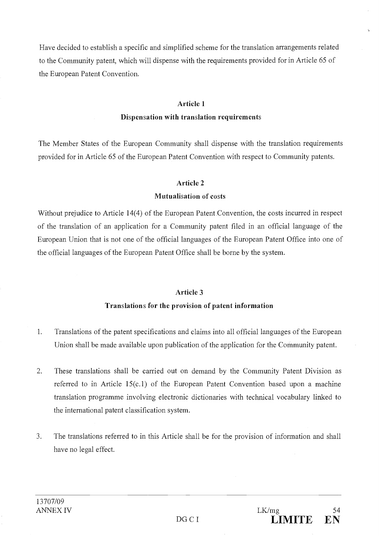Have decided to establish a specific and simplified scheme for the translation arrangements related to the Community patent, which will dispense with the requirements provided for in Article 65 of the European Patent Convention.

#### Article 1

# Dispensation with translation requirements

The Member States of the European Community shall dispense with the translation requirements provided for in Article 65 of the European Patent Convention with respect to Community patents.

# Article 2

# Mutualisation of costs

Without prejudice to Article 14(4) of the European Patent Convention, the costs incurred in respect of the translation of an application for a Community patent filed in an official language of the European Union that is not one of the official languages of the European Patent Office into one of the official languages of the European Patent Office shall be borne by the system.

# Article 3

# Translations for the provision of patent information

- Translations of the patent specifications and claims into ail official languages of the European 1. Union shall be made available upon publication of the application for the Community patent.
- These translations shall be carried out on demand by the Community Patent Division as  $2.$ referred to in Article 15(c.1) of the European Patent Convention based upon a machine translation programme involving electronic dictionaries with technical vocabulary linked to the international patent classification system.
- $3.$ The translations referred to in this Article shall be for the provision of information and shall have no legal effect.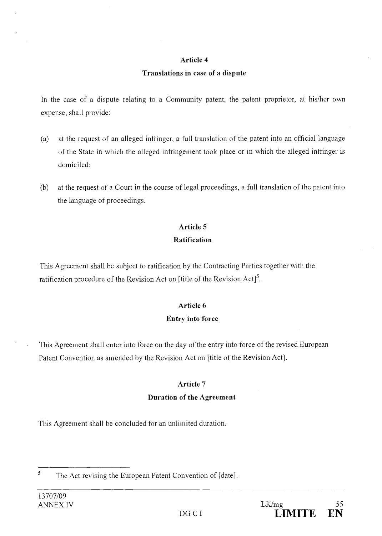# Article 4

# Translations in case of a dispute

In the case of a dispute relating to a Community patent, the patent proprietor, at his/her own expense, shall provide:

- $(a)$ at the request of an alleged infringer, a full translation of the patent into an official language of the State in which the alleged infringement took place or in which the alleged infringer is domiciled;
- $(b)$ at the request of a Court in the course of legal proceedings, a full translation of the patent into the language of proceedings.

# Article 5 Ratification

This Agreement shall be subject to ratification by the Contracting Parties together with the ratification procedure of the Revision Act on [title of the Revision Act]<sup>5</sup>.

# Article 6 Entry into force

This Agreement shall enter into force on the day of the entry into force of the revised European Patent Convention as amended by the Revision Act on [title of the Revision Act].

# Article 7

# Duration of the Agreement

This Agreement shall be concluded for an unlimited duration.

<sup>5</sup> The Act revising the European Patent Convention of [date].